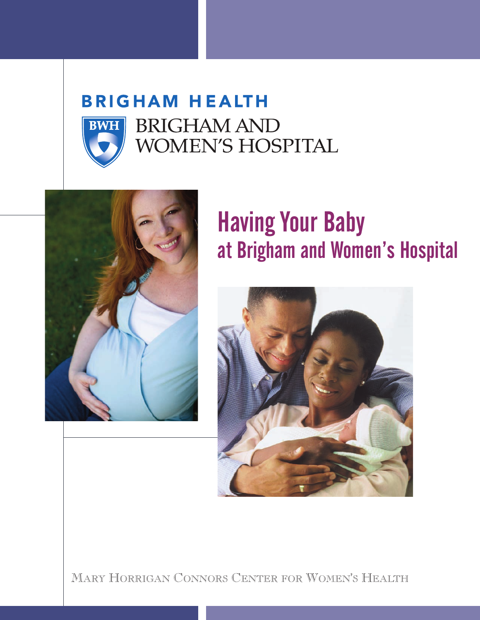# **BRIGHAM HEALTH BWH**

**BRIGHAM AND** WOMEN'S HOSPITAL



## Having Your Baby at Brigham and Women's Hospital



MARY HORRIGAN CONNORS CENTER FOR WOMEN'S HEALTH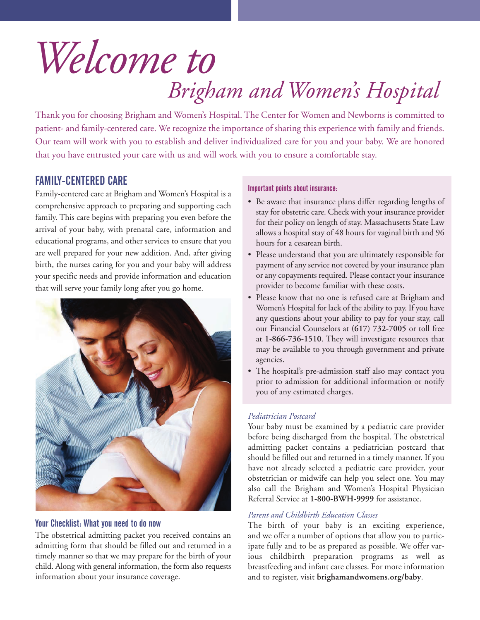## *Brigham and Women's Hospital Welcome to*

Thank you for choosing Brigham and Women's Hospital. The Center for Women and Newborns is committed to patient- and family-centered care. We recognize the importance of sharing this experience with family and friends. Our team will work with you to establish and deliver individualized care for you and your baby. We are honored that you have entrusted your care with us and will work with you to ensure a comfortable stay.

## FAMILY-CENTERED CARE

Family-centered care at Brigham and Women's Hospital is a comprehensive approach to preparing and supporting each family. This care begins with preparing you even before the arrival of your baby, with prenatal care, information and educational programs, and other services to ensure that you are well prepared for your new addition. And, after giving birth, the nurses caring for you and your baby will address your specific needs and provide information and education that will serve your family long after you go home.



### Your Checklist: What you need to do now

The obstetrical admitting packet you received contains an admitting form that should be filled out and returned in a timely manner so that we may prepare for the birth of your child. Along with general information, the form also requests information about your insurance coverage.

#### Important points about insurance:

- Be aware that insurance plans differ regarding lengths of stay for obstetric care. Check with your insurance provider for their policy on length of stay. Massachusetts State Law allows a hospital stay of 48 hours for vaginal birth and 96 hours for a cesarean birth.
- Please understand that you are ultimately responsible for payment of any service not covered by your insurance plan or any copayments required. Please contact your insurance provider to become familiar with these costs.
- Please know that no one is refused care at Brigham and Women's Hospital for lack of the ability to pay. If you have any questions about your ability to pay for your stay, call our Financial Counselors at **(617) 732-7005** or toll free at **1-866-736-1510**. They will investigate resources that may be available to you through government and private agencies.
- The hospital's pre-admission staff also may contact you prior to admission for additional information or notify you of any estimated charges.

## *Pediatrician Postcard*

Your baby must be examined by a pediatric care provider before being discharged from the hospital. The obstetrical admitting packet contains a pediatrician postcard that should be filled out and returned in a timely manner. If you have not already selected a pediatric care provider, your obstetrician or midwife can help you select one. You may also call the Brigham and Women's Hospital Physician Referral Service at **1-800-BWH-9999** for assistance.

## *Parent and Childbirth Education Classes*

The birth of your baby is an exciting experience, and we offer a number of options that allow you to participate fully and to be as prepared as possible. We offer various childbirth preparation programs as well as breastfeeding and infant care classes. For more information and to register, visit **brighamandwomens.org/baby**.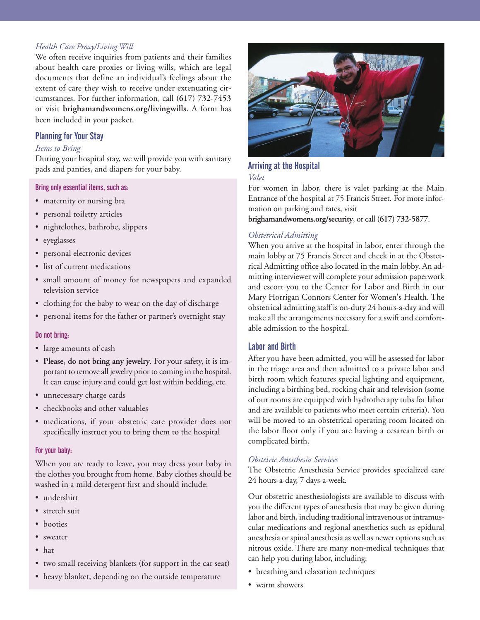#### *Health Care Proxy/Living Will*

We often receive inquiries from patients and their families about health care proxies or living wills, which are legal documents that define an individual's feelings about the extent of care they wish to receive under extenuating circumstances. For further information, call **(617) 732-7453** or visit **brighamandwomens.org/livingwills**. A form has been included in your packet.

#### Planning for Your Stay

#### *Items to Bring*

During your hospital stay, we will provide you with sanitary pads and panties, and diapers for your baby.

#### Bring only essential items, such as:

- maternity or nursing bra
- personal toiletry articles
- nightclothes, bathrobe, slippers
- eyeglasses
- personal electronic devices
- list of current medications
- small amount of money for newspapers and expanded television service
- clothing for the baby to wear on the day of discharge
- personal items for the father or partner's overnight stay

#### Do not bring:

- large amounts of cash
- **Please, do not bring any jewelry**. For your safety, it is important to remove all jewelry prior to coming in the hospital. It can cause injury and could get lost within bedding, etc.
- unnecessary charge cards
- checkbooks and other valuables
- medications, if your obstetric care provider does not specifically instruct you to bring them to the hospital

#### For your baby:

When you are ready to leave, you may dress your baby in the clothes you brought from home. Baby clothes should be washed in a mild detergent first and should include:

- undershirt
- stretch suit
- booties
- sweater
- hat
- two small receiving blankets (for support in the car seat)
- heavy blanket, depending on the outside temperature



#### Arriving at the Hospital *Valet*

For women in labor, there is valet parking at the Main Entrance of the hospital at 75 Francis Street. For more information on parking and rates, visit

**brighamandwomens.org/security**, or call **(617) 732-5877**.

#### *Obstetrical Admitting*

When you arrive at the hospital in labor, enter through the main lobby at 75 Francis Street and check in at the Obstetrical Admitting office also located in the main lobby. An admitting interviewer will complete your admission paperwork and escort you to the Center for Labor and Birth in our Mary Horrigan Connors Center for Women's Health. The obstetrical admitting staff is on-duty 24 hours-a-day and will make all the arrangements necessary for a swift and comfortable admission to the hospital.

#### Labor and Birth

After you have been admitted, you will be assessed for labor in the triage area and then admitted to a private labor and birth room which features special lighting and equipment, including a birthing bed, rocking chair and television (some of our rooms are equipped with hydrotherapy tubs for labor and are available to patients who meet certain criteria). You will be moved to an obstetrical operating room located on the labor floor only if you are having a cesarean birth or complicated birth.

#### *Obstetric Anesthesia Services*

The Obstetric Anesthesia Service provides specialized care 24 hours-a-day, 7 days-a-week.

Our obstetric anesthesiologists are available to discuss with you the different types of anesthesia that may be given during labor and birth, including traditional intravenous or intramuscular medications and regional anesthetics such as epidural anesthesia or spinal anesthesia as well as newer options such as nitrous oxide. There are many non-medical techniques that can help you during labor, including:

- breathing and relaxation techniques
- warm showers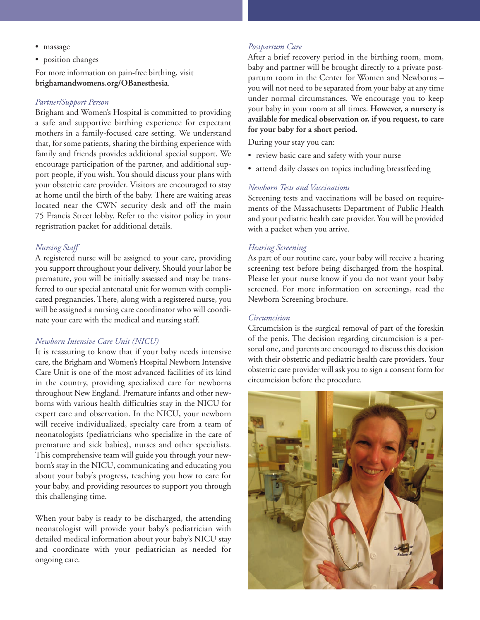- massage
- position changes

For more information on pain-free birthing, visit **brighamandwomens.org/OBanesthesia**.

#### *Partner/Support Person*

Brigham and Women's Hospital is committed to providing a safe and supportive birthing experience for expectant mothers in a family-focused care setting. We understand that, for some patients, sharing the birthing experience with family and friends provides additional special support. We encourage participation of the partner, and additional support people, if you wish. You should discuss your plans with your obstetric care provider. Visitors are encouraged to stay at home until the birth of the baby. There are waiting areas located near the CWN security desk and off the main 75 Francis Street lobby. Refer to the visitor policy in your regristration packet for additional details.

#### *Nursing Staff*

A registered nurse will be assigned to your care, providing you support throughout your delivery. Should your labor be premature, you will be initially assessed and may be transferred to our special antenatal unit for women with complicated pregnancies. There, along with a registered nurse, you will be assigned a nursing care coordinator who will coordinate your care with the medical and nursing staff.

#### *Newborn Intensive Care Unit (NICU)*

It is reassuring to know that if your baby needs intensive care, the Brigham and Women's Hospital Newborn Intensive Care Unit is one of the most advanced facilities of its kind in the country, providing specialized care for newborns throughout New England. Premature infants and other newborns with various health difficulties stay in the NICU for expert care and observation. In the NICU, your newborn will receive individualized, specialty care from a team of neonatologists (pediatricians who specialize in the care of premature and sick babies), nurses and other specialists. This comprehensive team will guide you through your newborn's stay in the NICU, communicating and educating you about your baby's progress, teaching you how to care for your baby, and providing resources to support you through this challenging time.

When your baby is ready to be discharged, the attending neonatologist will provide your baby's pediatrician with detailed medical information about your baby's NICU stay and coordinate with your pediatrician as needed for ongoing care.

#### *Postpartum Care*

After a brief recovery period in the birthing room, mom, baby and partner will be brought directly to a private postpartum room in the Center for Women and Newborns – you will not need to be separated from your baby at any time under normal circumstances. We encourage you to keep your baby in your room at all times. **However, a nursery is available for medical observation or, if you request, to care for your baby for a short period**.

During your stay you can:

- review basic care and safety with your nurse
- attend daily classes on topics including breastfeeding

#### *Newborn Tests and Vaccinations*

Screening tests and vaccinations will be based on requirements of the Massachusetts Department of Public Health and your pediatric health care provider. You will be provided with a packet when you arrive.

#### *Hearing Screening*

As part of our routine care, your baby will receive a hearing screening test before being discharged from the hospital. Please let your nurse know if you do not want your baby screened. For more information on screenings, read the Newborn Screening brochure.

#### *Circumcision*

Circumcision is the surgical removal of part of the foreskin of the penis. The decision regarding circumcision is a personal one, and parents are encouraged to discuss this decision with their obstetric and pediatric health care providers. Your obstetric care provider will ask you to sign a consent form for circumcision before the procedure.

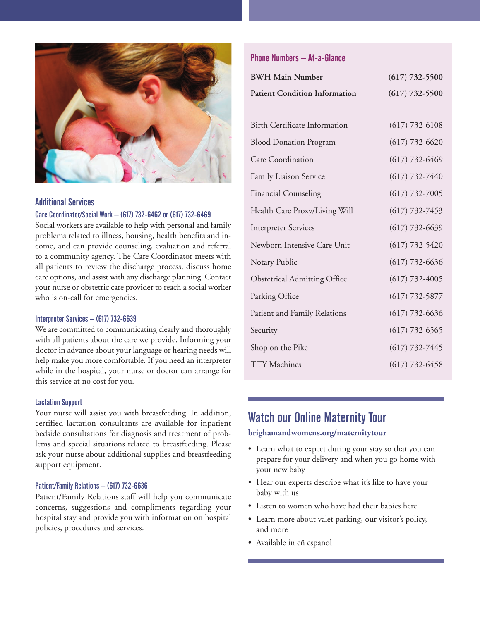

## Additional Services

#### Care Coordinator/Social Work – (617) 732-6462 or (617) 732-6469

Social workers are available to help with personal and family problems related to illness, housing, health benefits and income, and can provide counseling, evaluation and referral to a community agency. The Care Coordinator meets with all patients to review the discharge process, discuss home care options, and assist with any discharge planning. Contact your nurse or obstetric care provider to reach a social worker who is on-call for emergencies.

#### Interpreter Services – (617) 732-6639

We are committed to communicating clearly and thoroughly with all patients about the care we provide. Informing your doctor in advance about your language or hearing needs will help make you more comfortable. If you need an interpreter while in the hospital, your nurse or doctor can arrange for this service at no cost for you.

#### Lactation Support

Your nurse will assist you with breastfeeding. In addition, certified lactation consultants are available for inpatient bedside consultations for diagnosis and treatment of problems and special situations related to breastfeeding. Please ask your nurse about additional supplies and breastfeeding support equipment.

#### Patient/Family Relations – (617) 732-6636

Patient/Family Relations staff will help you communicate concerns, suggestions and compliments regarding your hospital stay and provide you with information on hospital policies, procedures and services.

## Phone Numbers – At-a-Glance

| <b>BWH Main Number</b>               | $(617)$ 732-5500   |
|--------------------------------------|--------------------|
| <b>Patient Condition Information</b> | $(617)$ 732-5500   |
|                                      |                    |
| <b>Birth Certificate Information</b> | $(617) 732 - 6108$ |
| <b>Blood Donation Program</b>        | $(617) 732 - 6620$ |
| Care Coordination                    | $(617) 732 - 6469$ |
| Family Liaison Service               | $(617) 732 - 7440$ |
| <b>Financial Counseling</b>          | $(617) 732 - 7005$ |
| Health Care Proxy/Living Will        | $(617)$ 732-7453   |
| <b>Interpreter Services</b>          | $(617) 732 - 6639$ |
| Newborn Intensive Care Unit          | $(617)$ 732-5420   |
| Notary Public                        | $(617) 732 - 6636$ |
| <b>Obstetrical Admitting Office</b>  | $(617) 732 - 4005$ |
| Parking Office                       | $(617) 732 - 5877$ |
| Patient and Family Relations         | $(617)$ 732-6636   |
| Security                             | $(617) 732 - 6565$ |
| Shop on the Pike                     | $(617) 732 - 7445$ |
| <b>TTY</b> Machines                  | $(617)$ 732-6458   |

## Watch our Online Maternity Tour

#### **brighamandwomens.org/maternitytour**

- Learn what to expect during your stay so that you can prepare for your delivery and when you go home with your new baby
- Hear our experts describe what it's like to have your baby with us
- Listen to women who have had their babies here
- Learn more about valet parking, our visitor's policy, and more
- Available in eñ espanol